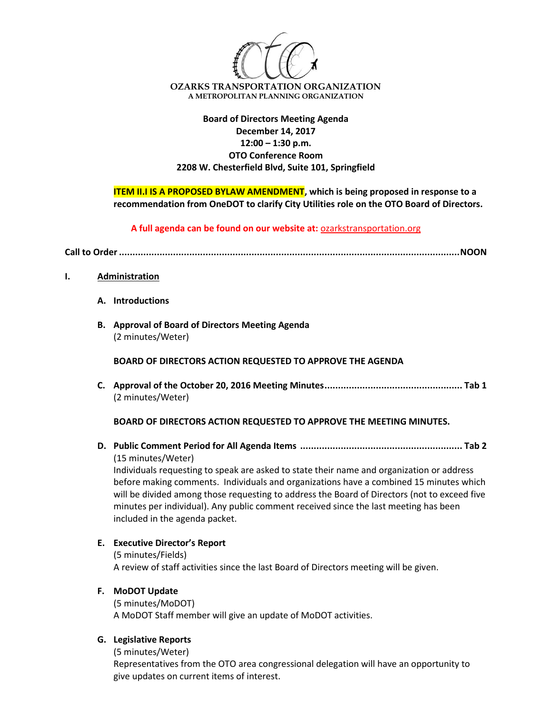

# **Board of Directors Meeting Agenda December 14, 2017 12:00 – 1:30 p.m. OTO Conference Room 2208 W. Chesterfield Blvd, Suite 101, Springfield**

**ITEM II.I IS A PROPOSED BYLAW AMENDMENT**, which is being proposed in response to a **recommendation from OneDOT to clarify City Utilities role on the OTO Board of Directors.**

**A full agenda can be found on our website at:** ozarkstransportation.org

**Call to Order..............................................................................................................................NOON**

- **I. Administration**
	- **A. Introductions**
	- **B. Approval of Board of Directors Meeting Agenda** (2 minutes/Weter)

**BOARD OF DIRECTORS ACTION REQUESTED TO APPROVE THE AGENDA**

**C. Approval of the October 20, 2016 Meeting Minutes................................................... Tab 1** (2 minutes/Weter)

**BOARD OF DIRECTORS ACTION REQUESTED TO APPROVE THE MEETING MINUTES.**

**D. Public Comment Period for All Agenda Items ............................................................ Tab 2** (15 minutes/Weter)

Individuals requesting to speak are asked to state their name and organization or address before making comments. Individuals and organizations have a combined 15 minutes which will be divided among those requesting to address the Board of Directors (not to exceed five minutes per individual). Any public comment received since the last meeting has been included in the agenda packet.

**E. Executive Director's Report**

(5 minutes/Fields) A review of staff activities since the last Board of Directors meeting will be given.

### **F. MoDOT Update**

(5 minutes/MoDOT) A MoDOT Staff member will give an update of MoDOT activities.

### **G. Legislative Reports**

(5 minutes/Weter) Representatives from the OTO area congressional delegation will have an opportunity to give updates on current items of interest.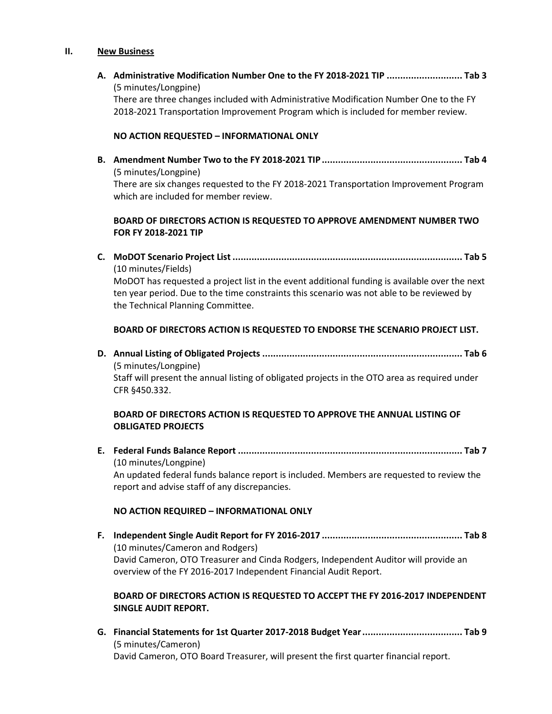#### **II. New Business**

**A. Administrative Modification Number One to the FY 2018-2021 TIP ............................ Tab 3** (5 minutes/Longpine) There are three changes included with Administrative Modification Number One to the FY 2018-2021 Transportation Improvement Program which is included for member review.

### **NO ACTION REQUESTED – INFORMATIONAL ONLY**

**B. Amendment Number Two to the FY 2018-2021 TIP.................................................... Tab 4** (5 minutes/Longpine) There are six changes requested to the FY 2018-2021 Transportation Improvement Program which are included for member review.

## **BOARD OF DIRECTORS ACTION IS REQUESTED TO APPROVE AMENDMENT NUMBER TWO FOR FY 2018-2021 TIP**

**C. MoDOT Scenario Project List ..................................................................................... Tab 5** (10 minutes/Fields) MoDOT has requested a project list in the event additional funding is available over the next ten year period. Due to the time constraints this scenario was not able to be reviewed by

the Technical Planning Committee.

#### **BOARD OF DIRECTORS ACTION IS REQUESTED TO ENDORSE THE SCENARIO PROJECT LIST.**

**D. Annual Listing of Obligated Projects .......................................................................... Tab 6** (5 minutes/Longpine) Staff will present the annual listing of obligated projects in the OTO area as required under CFR §450.332.

## **BOARD OF DIRECTORS ACTION IS REQUESTED TO APPROVE THE ANNUAL LISTING OF OBLIGATED PROJECTS**

**E. Federal Funds Balance Report ................................................................................... Tab 7** (10 minutes/Longpine) An updated federal funds balance report is included. Members are requested to review the

report and advise staff of any discrepancies.

### **NO ACTION REQUIRED – INFORMATIONAL ONLY**

**F. Independent Single Audit Report for FY 2016-2017 .................................................... Tab 8** (10 minutes/Cameron and Rodgers) David Cameron, OTO Treasurer and Cinda Rodgers, Independent Auditor will provide an overview of the FY 2016-2017 Independent Financial Audit Report.

### **BOARD OF DIRECTORS ACTION IS REQUESTED TO ACCEPT THE FY 2016-2017 INDEPENDENT SINGLE AUDIT REPORT.**

**G. Financial Statements for 1st Quarter 2017-2018 Budget Year..................................... Tab 9** (5 minutes/Cameron) David Cameron, OTO Board Treasurer, will present the first quarter financial report.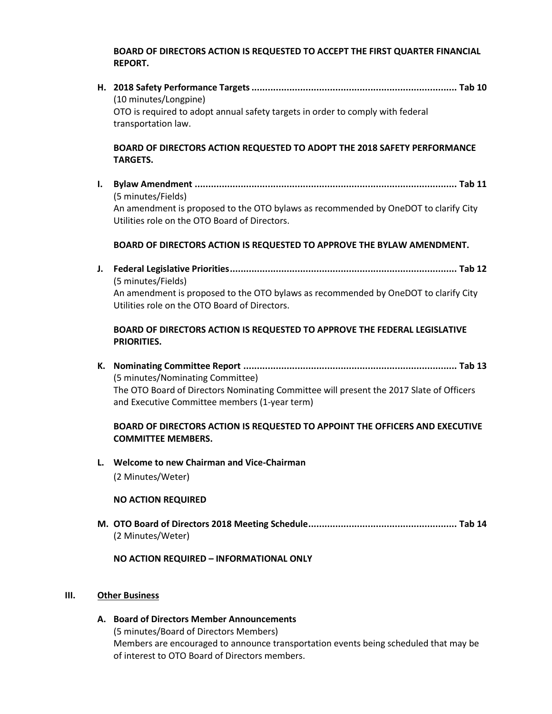### **BOARD OF DIRECTORS ACTION IS REQUESTED TO ACCEPT THE FIRST QUARTER FINANCIAL REPORT.**

**H. 2018 Safety Performance Targets............................................................................ Tab 10** (10 minutes/Longpine) OTO is required to adopt annual safety targets in order to comply with federal transportation law.

# **BOARD OF DIRECTORS ACTION REQUESTED TO ADOPT THE 2018 SAFETY PERFORMANCE TARGETS.**

**I. Bylaw Amendment ................................................................................................. Tab 11** (5 minutes/Fields) An amendment is proposed to the OTO bylaws as recommended by OneDOT to clarify City Utilities role on the OTO Board of Directors.

## **BOARD OF DIRECTORS ACTION IS REQUESTED TO APPROVE THE BYLAW AMENDMENT.**

**J. Federal Legislative Priorities.................................................................................... Tab 12** (5 minutes/Fields) An amendment is proposed to the OTO bylaws as recommended by OneDOT to clarify City Utilities role on the OTO Board of Directors.

## **BOARD OF DIRECTORS ACTION IS REQUESTED TO APPROVE THE FEDERAL LEGISLATIVE PRIORITIES.**

**K. Nominating Committee Report ............................................................................... Tab 13** (5 minutes/Nominating Committee) The OTO Board of Directors Nominating Committee will present the 2017 Slate of Officers and Executive Committee members (1-year term)

## **BOARD OF DIRECTORS ACTION IS REQUESTED TO APPOINT THE OFFICERS AND EXECUTIVE COMMITTEE MEMBERS.**

**L. Welcome to new Chairman and Vice-Chairman** (2 Minutes/Weter)

### **NO ACTION REQUIRED**

**M. OTO Board of Directors 2018 Meeting Schedule....................................................... Tab 14** (2 Minutes/Weter)

### **NO ACTION REQUIRED – INFORMATIONAL ONLY**

### **III. Other Business**

**A. Board of Directors Member Announcements** (5 minutes/Board of Directors Members) Members are encouraged to announce transportation events being scheduled that may be of interest to OTO Board of Directors members.